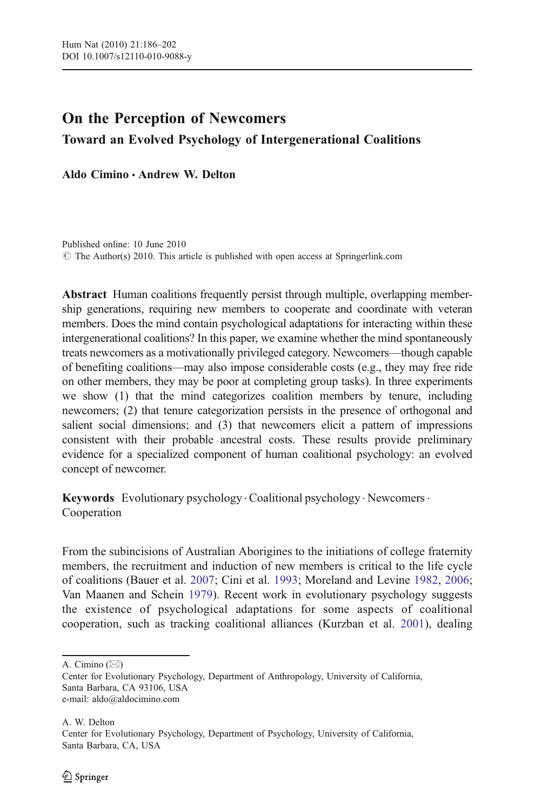# On the Perception of Newcomers Toward an Evolved Psychology of Intergenerational Coalitions

Aldo Cimino · Andrew W. Delton

Published online: 10 June 2010  $\circ$  The Author(s) 2010. This article is published with open access at Springerlink.com

Abstract Human coalitions frequently persist through multiple, overlapping membership generations, requiring new members to cooperate and coordinate with veteran members. Does the mind contain psychological adaptations for interacting within these intergenerational coalitions? In this paper, we examine whether the mind spontaneously treats newcomers as a motivationally privileged category. Newcomers—though capable of benefiting coalitions—may also impose considerable costs (e.g., they may free ride on other members, they may be poor at completing group tasks). In three experiments we show (1) that the mind categorizes coalition members by tenure, including newcomers; (2) that tenure categorization persists in the presence of orthogonal and salient social dimensions; and (3) that newcomers elicit a pattern of impressions consistent with their probable ancestral costs. These results provide preliminary evidence for a specialized component of human coalitional psychology: an evolved concept of newcomer.

Keywords Evolutionary psychology · Coalitional psychology · Newcomers · Cooperation

From the subincisions of Australian Aborigines to the initiations of college fraternity members, the recruitment and induction of new members is critical to the life cycle of coalitions (Bauer et al. [2007](#page-14-0); Cini et al. [1993;](#page-14-0) Moreland and Levine [1982](#page-15-0), [2006;](#page-15-0) Van Maanen and Schein [1979\)](#page-15-0). Recent work in evolutionary psychology suggests the existence of psychological adaptations for some aspects of coalitional cooperation, such as tracking coalitional alliances (Kurzban et al. [2001](#page-14-0)), dealing

A. Cimino  $(\boxtimes)$ 

Center for Evolutionary Psychology, Department of Anthropology, University of California, Santa Barbara, CA 93106, USA e-mail: aldo@aldocimino.com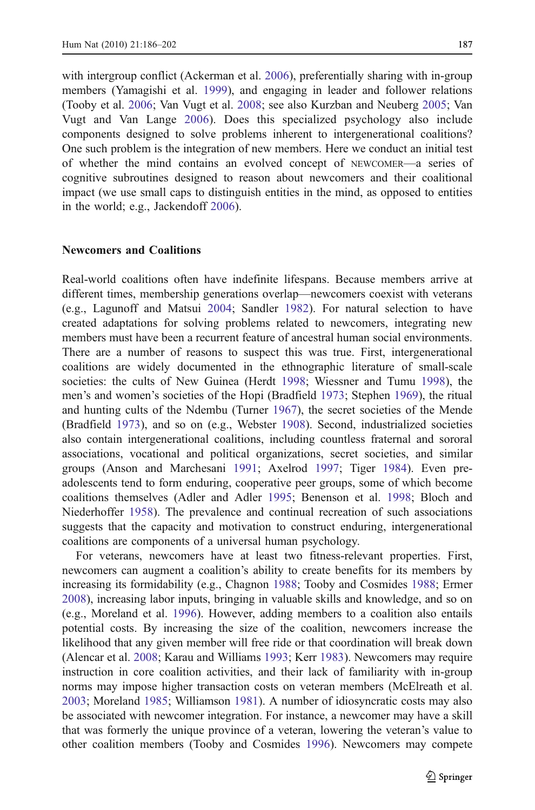with intergroup conflict (Ackerman et al. [2006\)](#page-13-0), preferentially sharing with in-group members (Yamagishi et al. [1999\)](#page-16-0), and engaging in leader and follower relations (Tooby et al. [2006](#page-15-0); Van Vugt et al. [2008;](#page-15-0) see also Kurzban and Neuberg [2005](#page-14-0); Van Vugt and Van Lange [2006\)](#page-15-0). Does this specialized psychology also include components designed to solve problems inherent to intergenerational coalitions? One such problem is the integration of new members. Here we conduct an initial test of whether the mind contains an evolved concept of NEWCOMER—a series of cognitive subroutines designed to reason about newcomers and their coalitional impact (we use small caps to distinguish entities in the mind, as opposed to entities in the world; e.g., Jackendoff [2006](#page-14-0)).

# Newcomers and Coalitions

Real-world coalitions often have indefinite lifespans. Because members arrive at different times, membership generations overlap—newcomers coexist with veterans (e.g., Lagunoff and Matsui [2004;](#page-14-0) Sandler [1982\)](#page-15-0). For natural selection to have created adaptations for solving problems related to newcomers, integrating new members must have been a recurrent feature of ancestral human social environments. There are a number of reasons to suspect this was true. First, intergenerational coalitions are widely documented in the ethnographic literature of small-scale societies: the cults of New Guinea (Herdt [1998](#page-14-0); Wiessner and Tumu [1998](#page-15-0)), the men's and women's societies of the Hopi (Bradfield [1973](#page-14-0); Stephen [1969\)](#page-15-0), the ritual and hunting cults of the Ndembu (Turner [1967](#page-15-0)), the secret societies of the Mende (Bradfield [1973\)](#page-14-0), and so on (e.g., Webster [1908](#page-15-0)). Second, industrialized societies also contain intergenerational coalitions, including countless fraternal and sororal associations, vocational and political organizations, secret societies, and similar groups (Anson and Marchesani [1991;](#page-13-0) Axelrod [1997;](#page-13-0) Tiger [1984](#page-15-0)). Even preadolescents tend to form enduring, cooperative peer groups, some of which become coalitions themselves (Adler and Adler [1995;](#page-13-0) Benenson et al. [1998;](#page-14-0) Bloch and Niederhoffer [1958\)](#page-14-0). The prevalence and continual recreation of such associations suggests that the capacity and motivation to construct enduring, intergenerational coalitions are components of a universal human psychology.

For veterans, newcomers have at least two fitness-relevant properties. First, newcomers can augment a coalition's ability to create benefits for its members by increasing its formidability (e.g., Chagnon [1988](#page-14-0); Tooby and Cosmides [1988](#page-15-0); Ermer [2008\)](#page-14-0), increasing labor inputs, bringing in valuable skills and knowledge, and so on (e.g., Moreland et al. [1996\)](#page-15-0). However, adding members to a coalition also entails potential costs. By increasing the size of the coalition, newcomers increase the likelihood that any given member will free ride or that coordination will break down (Alencar et al. [2008;](#page-13-0) Karau and Williams [1993;](#page-14-0) Kerr [1983\)](#page-14-0). Newcomers may require instruction in core coalition activities, and their lack of familiarity with in-group norms may impose higher transaction costs on veteran members (McElreath et al. [2003;](#page-15-0) Moreland [1985](#page-15-0); Williamson [1981](#page-15-0)). A number of idiosyncratic costs may also be associated with newcomer integration. For instance, a newcomer may have a skill that was formerly the unique province of a veteran, lowering the veteran's value to other coalition members (Tooby and Cosmides [1996](#page-15-0)). Newcomers may compete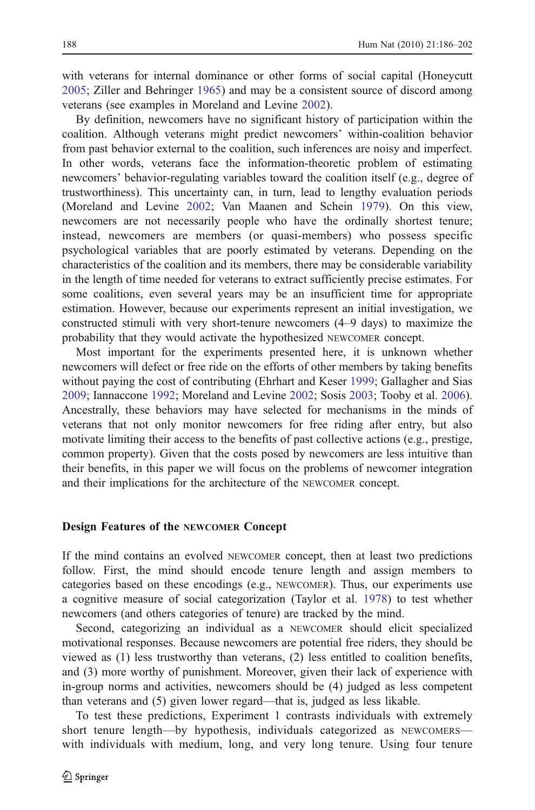with veterans for internal dominance or other forms of social capital (Honeycutt [2005;](#page-14-0) Ziller and Behringer [1965\)](#page-16-0) and may be a consistent source of discord among veterans (see examples in Moreland and Levine [2002\)](#page-15-0).

By definition, newcomers have no significant history of participation within the coalition. Although veterans might predict newcomers' within-coalition behavior from past behavior external to the coalition, such inferences are noisy and imperfect. In other words, veterans face the information-theoretic problem of estimating newcomers' behavior-regulating variables toward the coalition itself (e.g., degree of trustworthiness). This uncertainty can, in turn, lead to lengthy evaluation periods (Moreland and Levine [2002](#page-15-0); Van Maanen and Schein [1979](#page-15-0)). On this view, newcomers are not necessarily people who have the ordinally shortest tenure; instead, newcomers are members (or quasi-members) who possess specific psychological variables that are poorly estimated by veterans. Depending on the characteristics of the coalition and its members, there may be considerable variability in the length of time needed for veterans to extract sufficiently precise estimates. For some coalitions, even several years may be an insufficient time for appropriate estimation. However, because our experiments represent an initial investigation, we constructed stimuli with very short-tenure newcomers (4–9 days) to maximize the probability that they would activate the hypothesized NEWCOMER concept.

Most important for the experiments presented here, it is unknown whether newcomers will defect or free ride on the efforts of other members by taking benefits without paying the cost of contributing (Ehrhart and Keser [1999;](#page-14-0) Gallagher and Sias [2009;](#page-14-0) Iannaccone [1992](#page-14-0); Moreland and Levine [2002](#page-15-0); Sosis [2003](#page-15-0); Tooby et al. [2006\)](#page-15-0). Ancestrally, these behaviors may have selected for mechanisms in the minds of veterans that not only monitor newcomers for free riding after entry, but also motivate limiting their access to the benefits of past collective actions (e.g., prestige, common property). Given that the costs posed by newcomers are less intuitive than their benefits, in this paper we will focus on the problems of newcomer integration and their implications for the architecture of the NEWCOMER concept.

### Design Features of the NEWCOMER Concept

If the mind contains an evolved NEWCOMER concept, then at least two predictions follow. First, the mind should encode tenure length and assign members to categories based on these encodings (e.g., NEWCOMER). Thus, our experiments use a cognitive measure of social categorization (Taylor et al. [1978](#page-15-0)) to test whether newcomers (and others categories of tenure) are tracked by the mind.

Second, categorizing an individual as a NEWCOMER should elicit specialized motivational responses. Because newcomers are potential free riders, they should be viewed as (1) less trustworthy than veterans, (2) less entitled to coalition benefits, and (3) more worthy of punishment. Moreover, given their lack of experience with in-group norms and activities, newcomers should be (4) judged as less competent than veterans and (5) given lower regard—that is, judged as less likable.

To test these predictions, Experiment 1 contrasts individuals with extremely short tenure length—by hypothesis, individuals categorized as NEWCOMERS with individuals with medium, long, and very long tenure. Using four tenure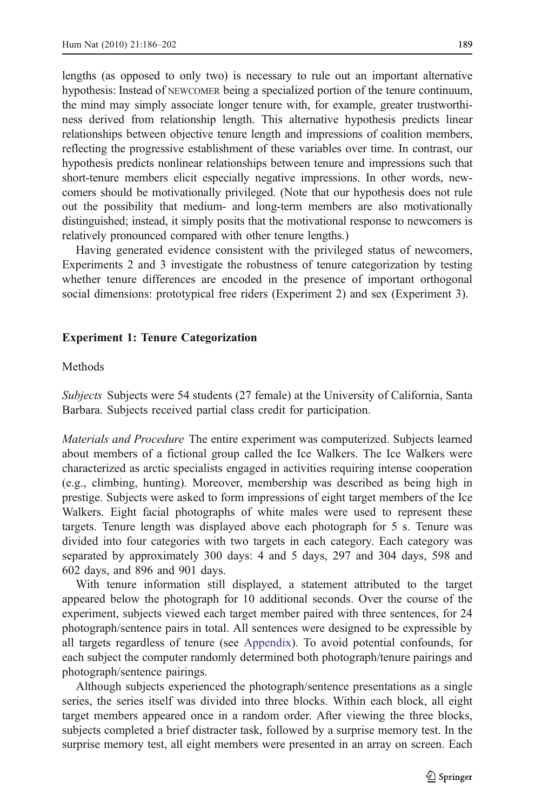lengths (as opposed to only two) is necessary to rule out an important alternative hypothesis: Instead of NEWCOMER being a specialized portion of the tenure continuum, the mind may simply associate longer tenure with, for example, greater trustworthiness derived from relationship length. This alternative hypothesis predicts linear relationships between objective tenure length and impressions of coalition members, reflecting the progressive establishment of these variables over time. In contrast, our hypothesis predicts nonlinear relationships between tenure and impressions such that short-tenure members elicit especially negative impressions. In other words, newcomers should be motivationally privileged. (Note that our hypothesis does not rule out the possibility that medium- and long-term members are also motivationally distinguished; instead, it simply posits that the motivational response to newcomers is relatively pronounced compared with other tenure lengths.)

Having generated evidence consistent with the privileged status of newcomers, Experiments 2 and 3 investigate the robustness of tenure categorization by testing whether tenure differences are encoded in the presence of important orthogonal social dimensions: prototypical free riders (Experiment 2) and sex (Experiment 3).

# Experiment 1: Tenure Categorization

# Methods

Subjects Subjects were 54 students (27 female) at the University of California, Santa Barbara. Subjects received partial class credit for participation.

Materials and Procedure The entire experiment was computerized. Subjects learned about members of a fictional group called the Ice Walkers. The Ice Walkers were characterized as arctic specialists engaged in activities requiring intense cooperation (e.g., climbing, hunting). Moreover, membership was described as being high in prestige. Subjects were asked to form impressions of eight target members of the Ice Walkers. Eight facial photographs of white males were used to represent these targets. Tenure length was displayed above each photograph for 5 s. Tenure was divided into four categories with two targets in each category. Each category was separated by approximately 300 days: 4 and 5 days, 297 and 304 days, 598 and 602 days, and 896 and 901 days.

With tenure information still displayed, a statement attributed to the target appeared below the photograph for 10 additional seconds. Over the course of the experiment, subjects viewed each target member paired with three sentences, for 24 photograph/sentence pairs in total. All sentences were designed to be expressible by all targets regardless of tenure (see [Appendix\)](#page-13-0). To avoid potential confounds, for each subject the computer randomly determined both photograph/tenure pairings and photograph/sentence pairings.

Although subjects experienced the photograph/sentence presentations as a single series, the series itself was divided into three blocks. Within each block, all eight target members appeared once in a random order. After viewing the three blocks, subjects completed a brief distracter task, followed by a surprise memory test. In the surprise memory test, all eight members were presented in an array on screen. Each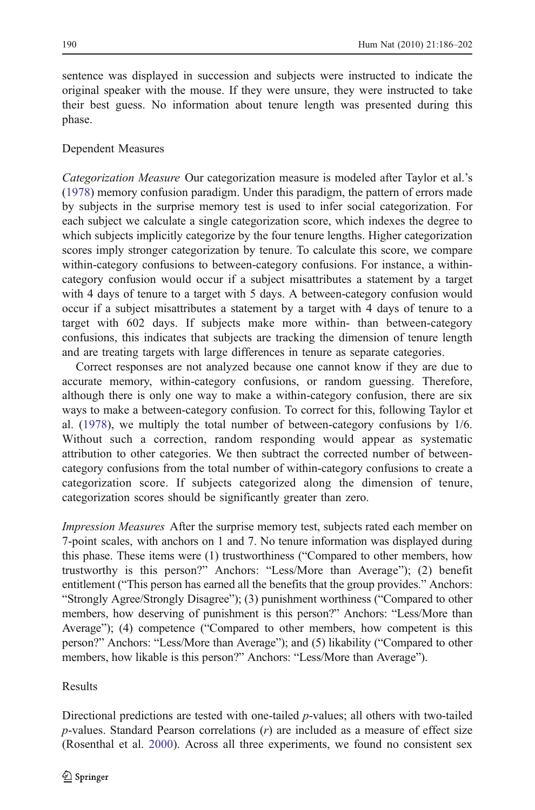sentence was displayed in succession and subjects were instructed to indicate the original speaker with the mouse. If they were unsure, they were instructed to take their best guess. No information about tenure length was presented during this phase.

# Dependent Measures

Categorization Measure Our categorization measure is modeled after Taylor et al.'s [\(1978](#page-15-0)) memory confusion paradigm. Under this paradigm, the pattern of errors made by subjects in the surprise memory test is used to infer social categorization. For each subject we calculate a single categorization score, which indexes the degree to which subjects implicitly categorize by the four tenure lengths. Higher categorization scores imply stronger categorization by tenure. To calculate this score, we compare within-category confusions to between-category confusions. For instance, a withincategory confusion would occur if a subject misattributes a statement by a target with 4 days of tenure to a target with 5 days. A between-category confusion would occur if a subject misattributes a statement by a target with 4 days of tenure to a target with 602 days. If subjects make more within- than between-category confusions, this indicates that subjects are tracking the dimension of tenure length and are treating targets with large differences in tenure as separate categories.

Correct responses are not analyzed because one cannot know if they are due to accurate memory, within-category confusions, or random guessing. Therefore, although there is only one way to make a within-category confusion, there are six ways to make a between-category confusion. To correct for this, following Taylor et al. [\(1978](#page-15-0)), we multiply the total number of between-category confusions by 1/6. Without such a correction, random responding would appear as systematic attribution to other categories. We then subtract the corrected number of betweencategory confusions from the total number of within-category confusions to create a categorization score. If subjects categorized along the dimension of tenure, categorization scores should be significantly greater than zero.

Impression Measures After the surprise memory test, subjects rated each member on 7-point scales, with anchors on 1 and 7. No tenure information was displayed during this phase. These items were (1) trustworthiness ("Compared to other members, how trustworthy is this person?" Anchors: "Less/More than Average"); (2) benefit entitlement ("This person has earned all the benefits that the group provides." Anchors: "Strongly Agree/Strongly Disagree"); (3) punishment worthiness ("Compared to other members, how deserving of punishment is this person?" Anchors: "Less/More than Average"); (4) competence ("Compared to other members, how competent is this person?" Anchors: "Less/More than Average"); and (5) likability ("Compared to other members, how likable is this person?" Anchors: "Less/More than Average").

# Results

Directional predictions are tested with one-tailed p-values; all others with two-tailed  $p$ -values. Standard Pearson correlations  $(r)$  are included as a measure of effect size (Rosenthal et al. [2000](#page-15-0)). Across all three experiments, we found no consistent sex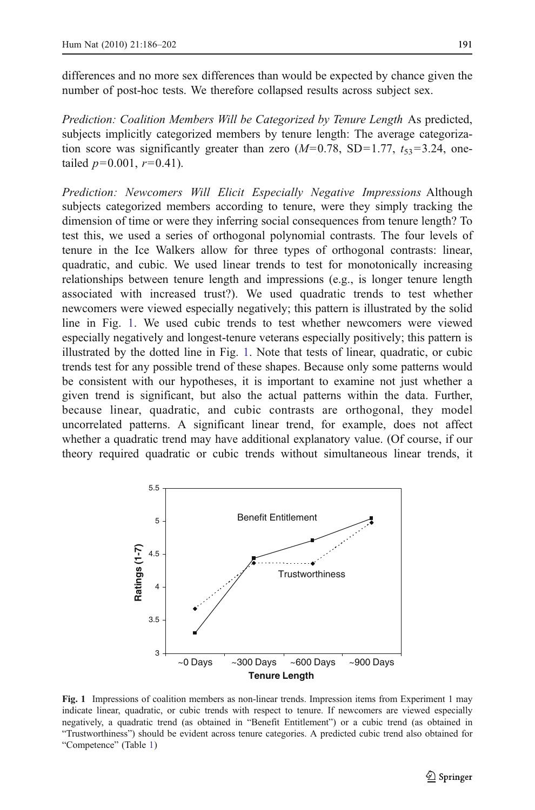<span id="page-5-0"></span>differences and no more sex differences than would be expected by chance given the number of post-hoc tests. We therefore collapsed results across subject sex.

Prediction: Coalition Members Will be Categorized by Tenure Length As predicted, subjects implicitly categorized members by tenure length: The average categorization score was significantly greater than zero  $(M=0.78, SD=1.77, t_{53}=3.24, one$ tailed  $p=0.001$ ,  $r=0.41$ ).

Prediction: Newcomers Will Elicit Especially Negative Impressions Although subjects categorized members according to tenure, were they simply tracking the dimension of time or were they inferring social consequences from tenure length? To test this, we used a series of orthogonal polynomial contrasts. The four levels of tenure in the Ice Walkers allow for three types of orthogonal contrasts: linear, quadratic, and cubic. We used linear trends to test for monotonically increasing relationships between tenure length and impressions (e.g., is longer tenure length associated with increased trust?). We used quadratic trends to test whether newcomers were viewed especially negatively; this pattern is illustrated by the solid line in Fig. 1. We used cubic trends to test whether newcomers were viewed especially negatively and longest-tenure veterans especially positively; this pattern is illustrated by the dotted line in Fig. 1. Note that tests of linear, quadratic, or cubic trends test for any possible trend of these shapes. Because only some patterns would be consistent with our hypotheses, it is important to examine not just whether a given trend is significant, but also the actual patterns within the data. Further, because linear, quadratic, and cubic contrasts are orthogonal, they model uncorrelated patterns. A significant linear trend, for example, does not affect whether a quadratic trend may have additional explanatory value. (Of course, if our theory required quadratic or cubic trends without simultaneous linear trends, it



Fig. 1 Impressions of coalition members as non-linear trends. Impression items from Experiment 1 may indicate linear, quadratic, or cubic trends with respect to tenure. If newcomers are viewed especially negatively, a quadratic trend (as obtained in "Benefit Entitlement") or a cubic trend (as obtained in "Trustworthiness") should be evident across tenure categories. A predicted cubic trend also obtained for "Competence" (Table [1\)](#page-6-0)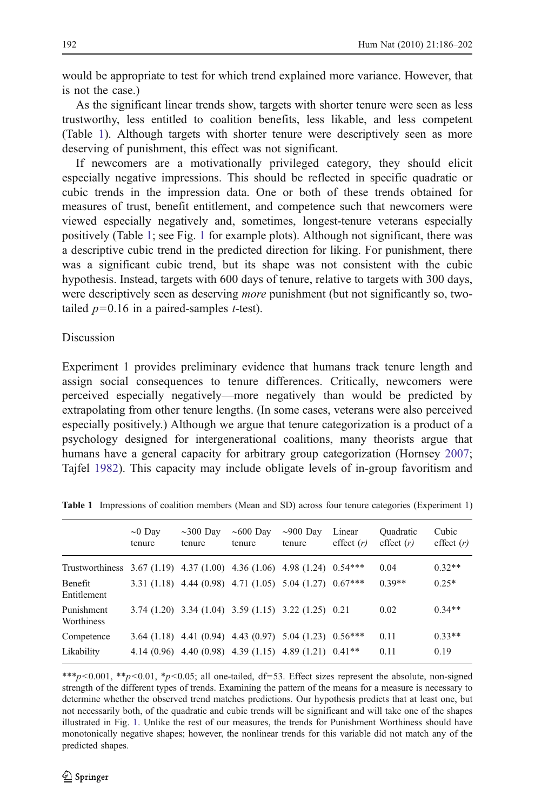<span id="page-6-0"></span>would be appropriate to test for which trend explained more variance. However, that is not the case.)

As the significant linear trends show, targets with shorter tenure were seen as less trustworthy, less entitled to coalition benefits, less likable, and less competent (Table 1). Although targets with shorter tenure were descriptively seen as more deserving of punishment, this effect was not significant.

If newcomers are a motivationally privileged category, they should elicit especially negative impressions. This should be reflected in specific quadratic or cubic trends in the impression data. One or both of these trends obtained for measures of trust, benefit entitlement, and competence such that newcomers were viewed especially negatively and, sometimes, longest-tenure veterans especially positively (Table 1; see Fig. [1](#page-5-0) for example plots). Although not significant, there was a descriptive cubic trend in the predicted direction for liking. For punishment, there was a significant cubic trend, but its shape was not consistent with the cubic hypothesis. Instead, targets with 600 days of tenure, relative to targets with 300 days, were descriptively seen as deserving *more* punishment (but not significantly so, twotailed  $p=0.16$  in a paired-samples *t*-test).

## Discussion

Experiment 1 provides preliminary evidence that humans track tenure length and assign social consequences to tenure differences. Critically, newcomers were perceived especially negatively—more negatively than would be predicted by extrapolating from other tenure lengths. (In some cases, veterans were also perceived especially positively.) Although we argue that tenure categorization is a product of a psychology designed for intergenerational coalitions, many theorists argue that humans have a general capacity for arbitrary group categorization (Hornsey [2007;](#page-14-0) Tajfel [1982](#page-15-0)). This capacity may include obligate levels of in-group favoritism and

|                                                                               | $\sim 0$ Day<br>tenure | $\sim$ 300 Day<br>tenure                                           | $\sim 600$ Day<br>tenure | $\sim$ 900 Day<br>tenure | Linear<br>effect $(r)$ | Quadratic<br>effect $(r)$ | Cubic<br>effect $(r)$ |
|-------------------------------------------------------------------------------|------------------------|--------------------------------------------------------------------|--------------------------|--------------------------|------------------------|---------------------------|-----------------------|
| Trustworthiness $3.67(1.19)$ $4.37(1.00)$ $4.36(1.06)$ $4.98(1.24)$ $0.54***$ |                        |                                                                    |                          |                          |                        | 0.04                      | $0.32**$              |
| Benefit<br>Entitlement                                                        |                        | 3.31 (1.18) 4.44 (0.98) 4.71 (1.05) 5.04 (1.27) $0.67***$          |                          |                          |                        | $0.39**$                  | $0.25*$               |
| Punishment<br>Worthiness                                                      |                        | 3.74 (1.20) 3.34 (1.04) 3.59 (1.15) 3.22 (1.25) 0.21               |                          |                          |                        | 0.02                      | $0.34**$              |
| Competence                                                                    |                        | 3.64 (1.18) 4.41 (0.94) 4.43 (0.97) 5.04 (1.23) 0.56***            |                          |                          |                        | 0.11                      | $0.33**$              |
| Likability                                                                    |                        | 4.14 (0.96) 4.40 (0.98) 4.39 (1.15) 4.89 (1.21) 0.41 <sup>**</sup> |                          |                          |                        | 0.11                      | 0.19                  |

Table 1 Impressions of coalition members (Mean and SD) across four tenure categories (Experiment 1)

\*\*\*p<0.01, \*\*p<0.01, \*p<0.05; all one-tailed, df=53. Effect sizes represent the absolute, non-signed strength of the different types of trends. Examining the pattern of the means for a measure is necessary to determine whether the observed trend matches predictions. Our hypothesis predicts that at least one, but not necessarily both, of the quadratic and cubic trends will be significant and will take one of the shapes illustrated in Fig. [1](#page-5-0). Unlike the rest of our measures, the trends for Punishment Worthiness should have monotonically negative shapes; however, the nonlinear trends for this variable did not match any of the predicted shapes.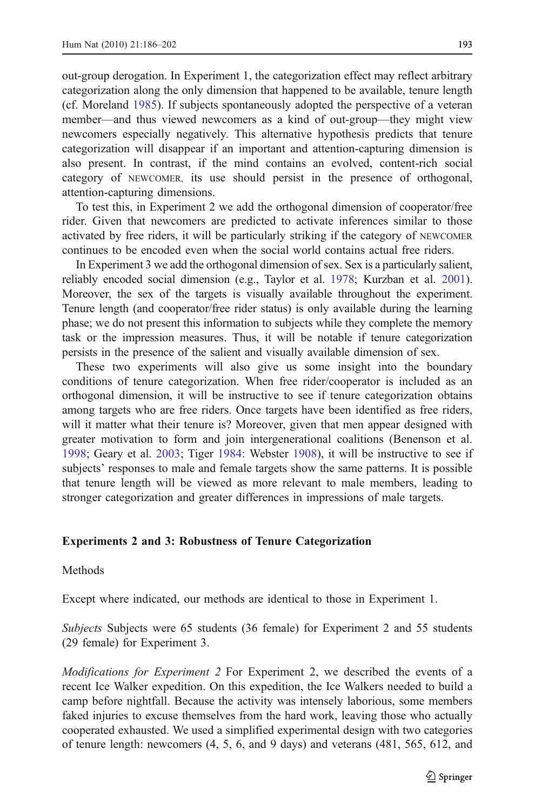out-group derogation. In Experiment 1, the categorization effect may reflect arbitrary categorization along the only dimension that happened to be available, tenure length (cf. Moreland [1985](#page-15-0)). If subjects spontaneously adopted the perspective of a veteran member—and thus viewed newcomers as a kind of out-group—they might view newcomers especially negatively. This alternative hypothesis predicts that tenure categorization will disappear if an important and attention-capturing dimension is also present. In contrast, if the mind contains an evolved, content-rich social category of NEWCOMER, its use should persist in the presence of orthogonal, attention-capturing dimensions.

To test this, in Experiment 2 we add the orthogonal dimension of cooperator/free rider. Given that newcomers are predicted to activate inferences similar to those activated by free riders, it will be particularly striking if the category of NEWCOMER continues to be encoded even when the social world contains actual free riders.

In Experiment 3 we add the orthogonal dimension of sex. Sex is a particularly salient, reliably encoded social dimension (e.g., Taylor et al. [1978](#page-15-0); Kurzban et al. [2001\)](#page-14-0). Moreover, the sex of the targets is visually available throughout the experiment. Tenure length (and cooperator/free rider status) is only available during the learning phase; we do not present this information to subjects while they complete the memory task or the impression measures. Thus, it will be notable if tenure categorization persists in the presence of the salient and visually available dimension of sex.

These two experiments will also give us some insight into the boundary conditions of tenure categorization. When free rider/cooperator is included as an orthogonal dimension, it will be instructive to see if tenure categorization obtains among targets who are free riders. Once targets have been identified as free riders, will it matter what their tenure is? Moreover, given that men appear designed with greater motivation to form and join intergenerational coalitions (Benenson et al. [1998;](#page-14-0) Geary et al. [2003](#page-14-0); Tiger [1984:](#page-15-0) Webster [1908\)](#page-15-0), it will be instructive to see if subjects' responses to male and female targets show the same patterns. It is possible that tenure length will be viewed as more relevant to male members, leading to stronger categorization and greater differences in impressions of male targets.

#### Experiments 2 and 3: Robustness of Tenure Categorization

#### Methods

Except where indicated, our methods are identical to those in Experiment 1.

Subjects Subjects were 65 students (36 female) for Experiment 2 and 55 students (29 female) for Experiment 3.

Modifications for Experiment 2 For Experiment 2, we described the events of a recent Ice Walker expedition. On this expedition, the Ice Walkers needed to build a camp before nightfall. Because the activity was intensely laborious, some members faked injuries to excuse themselves from the hard work, leaving those who actually cooperated exhausted. We used a simplified experimental design with two categories of tenure length: newcomers (4, 5, 6, and 9 days) and veterans (481, 565, 612, and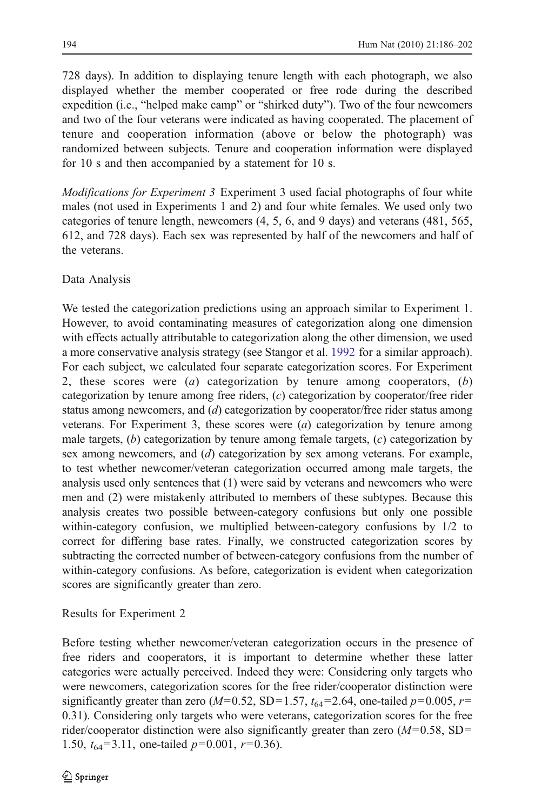728 days). In addition to displaying tenure length with each photograph, we also displayed whether the member cooperated or free rode during the described expedition (i.e., "helped make camp" or "shirked duty"). Two of the four newcomers and two of the four veterans were indicated as having cooperated. The placement of tenure and cooperation information (above or below the photograph) was randomized between subjects. Tenure and cooperation information were displayed for 10 s and then accompanied by a statement for 10 s.

Modifications for Experiment 3 Experiment 3 used facial photographs of four white males (not used in Experiments 1 and 2) and four white females. We used only two categories of tenure length, newcomers (4, 5, 6, and 9 days) and veterans (481, 565, 612, and 728 days). Each sex was represented by half of the newcomers and half of the veterans.

# Data Analysis

We tested the categorization predictions using an approach similar to Experiment 1. However, to avoid contaminating measures of categorization along one dimension with effects actually attributable to categorization along the other dimension, we used a more conservative analysis strategy (see Stangor et al. [1992](#page-15-0) for a similar approach). For each subject, we calculated four separate categorization scores. For Experiment 2, these scores were (*a*) categorization by tenure among cooperators,  $(b)$ categorization by tenure among free riders, (c) categorization by cooperator/free rider status among newcomers, and  $(d)$  categorization by cooperator/free rider status among veterans. For Experiment 3, these scores were  $(a)$  categorization by tenure among male targets,  $(b)$  categorization by tenure among female targets,  $(c)$  categorization by sex among newcomers, and (d) categorization by sex among veterans. For example, to test whether newcomer/veteran categorization occurred among male targets, the analysis used only sentences that (1) were said by veterans and newcomers who were men and (2) were mistakenly attributed to members of these subtypes. Because this analysis creates two possible between-category confusions but only one possible within-category confusion, we multiplied between-category confusions by 1/2 to correct for differing base rates. Finally, we constructed categorization scores by subtracting the corrected number of between-category confusions from the number of within-category confusions. As before, categorization is evident when categorization scores are significantly greater than zero.

# Results for Experiment 2

Before testing whether newcomer/veteran categorization occurs in the presence of free riders and cooperators, it is important to determine whether these latter categories were actually perceived. Indeed they were: Considering only targets who were newcomers, categorization scores for the free rider/cooperator distinction were significantly greater than zero ( $M=0.52$ , SD=1.57,  $t_{64}=2.64$ , one-tailed  $p=0.005$ ,  $r=$ 0.31). Considering only targets who were veterans, categorization scores for the free rider/cooperator distinction were also significantly greater than zero  $(M=0.58, SD=$ 1.50,  $t_{64}$ =3.11, one-tailed  $p=0.001$ ,  $r=0.36$ ).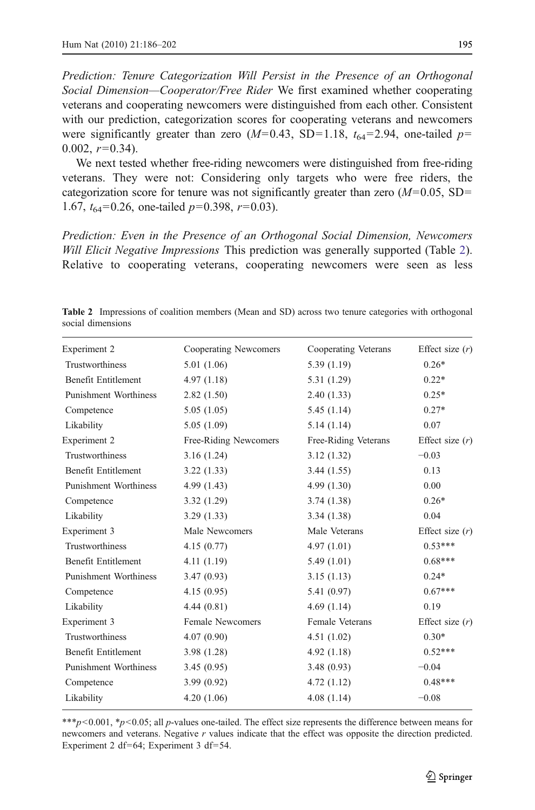<span id="page-9-0"></span>Prediction: Tenure Categorization Will Persist in the Presence of an Orthogonal Social Dimension—Cooperator/Free Rider We first examined whether cooperating veterans and cooperating newcomers were distinguished from each other. Consistent with our prediction, categorization scores for cooperating veterans and newcomers were significantly greater than zero  $(M=0.43, SD=1.18, t_{64}=2.94,$  one-tailed  $p=$  $0.002, r=0.34$ ).

We next tested whether free-riding newcomers were distinguished from free-riding veterans. They were not: Considering only targets who were free riders, the categorization score for tenure was not significantly greater than zero  $(M=0.05, SD=$ 1.67,  $t_{64}$ =0.26, one-tailed  $p=0.398$ ,  $r=0.03$ ).

Prediction: Even in the Presence of an Orthogonal Social Dimension, Newcomers Will Elicit Negative Impressions This prediction was generally supported (Table 2). Relative to cooperating veterans, cooperating newcomers were seen as less

Table 2 Impressions of coalition members (Mean and SD) across two tenure categories with orthogonal social dimensions

| Experiment 2                 | Cooperating Newcomers   | Cooperating Veterans | Effect size $(r)$ |
|------------------------------|-------------------------|----------------------|-------------------|
| Trustworthiness              | 5.01(1.06)              | 5.39(1.19)           | $0.26*$           |
| Benefit Entitlement          | 4.97(1.18)              | 5.31(1.29)           | $0.22*$           |
| <b>Punishment Worthiness</b> | 2.82(1.50)              | 2.40(1.33)           | $0.25*$           |
| Competence                   | 5.05(1.05)              | 5.45(1.14)           | $0.27*$           |
| Likability                   | 5.05(1.09)              | 5.14(1.14)           | 0.07              |
| Experiment 2                 | Free-Riding Newcomers   | Free-Riding Veterans | Effect size $(r)$ |
| <b>Trustworthiness</b>       | 3.16(1.24)              | 3.12(1.32)           | $-0.03$           |
| Benefit Entitlement          | 3.22(1.33)              | 3.44(1.55)           | 0.13              |
| <b>Punishment Worthiness</b> | 4.99(1.43)              | 4.99(1.30)           | 0.00              |
| Competence                   | 3.32(1.29)              | 3.74(1.38)           | $0.26*$           |
| Likability                   | 3.29(1.33)              | 3.34(1.38)           | 0.04              |
| Experiment 3                 | Male Newcomers          | Male Veterans        | Effect size $(r)$ |
| Trustworthiness              | 4.15(0.77)              | 4.97(1.01)           | $0.53***$         |
| Benefit Entitlement          | 4.11(1.19)              | 5.49(1.01)           | $0.68***$         |
| <b>Punishment Worthiness</b> | 3.47(0.93)              | 3.15(1.13)           | $0.24*$           |
| Competence                   | 4.15(0.95)              | 5.41(0.97)           | $0.67***$         |
| Likability                   | 4.44(0.81)              | 4.69(1.14)           | 0.19              |
| Experiment 3                 | <b>Female Newcomers</b> | Female Veterans      | Effect size $(r)$ |
| Trustworthiness              | 4.07(0.90)              | 4.51(1.02)           | $0.30*$           |
| Benefit Entitlement          | 3.98(1.28)              | 4.92(1.18)           | $0.52***$         |
| <b>Punishment Worthiness</b> | 3.45(0.95)              | 3.48(0.93)           | $-0.04$           |
| Competence                   | 3.99(0.92)              | 4.72(1.12)           | $0.48***$         |
| Likability                   | 4.20(1.06)              | 4.08(1.14)           | $-0.08$           |
|                              |                         |                      |                   |

\*\*\*p<0.001,  $p<0.05$ ; all p-values one-tailed. The effect size represents the difference between means for newcomers and veterans. Negative r values indicate that the effect was opposite the direction predicted. Experiment 2 df=64; Experiment 3 df=54.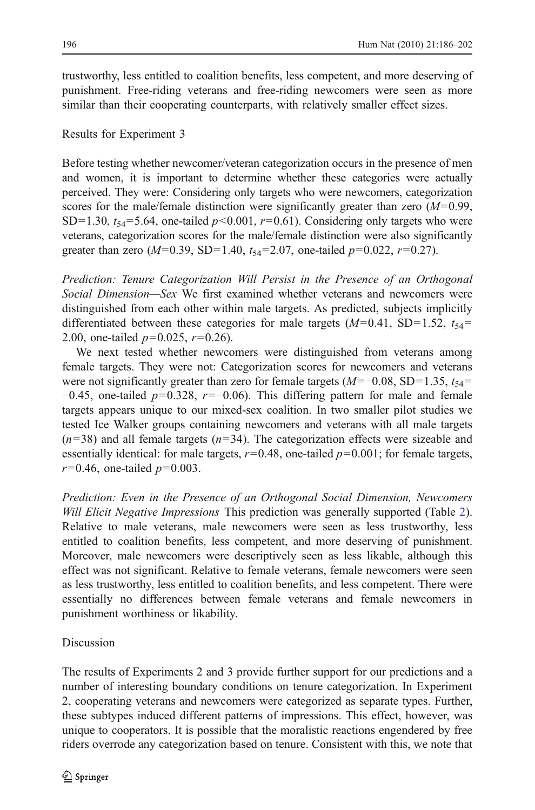trustworthy, less entitled to coalition benefits, less competent, and more deserving of punishment. Free-riding veterans and free-riding newcomers were seen as more similar than their cooperating counterparts, with relatively smaller effect sizes.

# Results for Experiment 3

Before testing whether newcomer/veteran categorization occurs in the presence of men and women, it is important to determine whether these categories were actually perceived. They were: Considering only targets who were newcomers, categorization scores for the male/female distinction were significantly greater than zero  $(M=0.99)$ , SD=1.30,  $t_{54}$ =5.64, one-tailed  $p$  <0.001,  $r$ =0.61). Considering only targets who were veterans, categorization scores for the male/female distinction were also significantly greater than zero ( $M=0.39$ , SD=1.40,  $t_{54}=2.07$ , one-tailed  $p=0.022$ ,  $r=0.27$ ).

Prediction: Tenure Categorization Will Persist in the Presence of an Orthogonal Social Dimension—Sex We first examined whether veterans and newcomers were distinguished from each other within male targets. As predicted, subjects implicitly differentiated between these categories for male targets  $(M=0.41, SD=1.52, t_{54}=$ 2.00, one-tailed  $p=0.025$ ,  $r=0.26$ ).

We next tested whether newcomers were distinguished from veterans among female targets. They were not: Categorization scores for newcomers and veterans were not significantly greater than zero for female targets ( $M=-0.08$ , SD=1.35,  $t_{54}$ =  $-0.45$ , one-tailed  $p=0.328$ ,  $r=-0.06$ ). This differing pattern for male and female targets appears unique to our mixed-sex coalition. In two smaller pilot studies we tested Ice Walker groups containing newcomers and veterans with all male targets  $(n=38)$  and all female targets  $(n=34)$ . The categorization effects were sizeable and essentially identical: for male targets,  $r=0.48$ , one-tailed  $p=0.001$ ; for female targets,  $r=0.46$ , one-tailed  $p=0.003$ .

Prediction: Even in the Presence of an Orthogonal Social Dimension, Newcomers Will Elicit Negative Impressions This prediction was generally supported (Table [2\)](#page-9-0). Relative to male veterans, male newcomers were seen as less trustworthy, less entitled to coalition benefits, less competent, and more deserving of punishment. Moreover, male newcomers were descriptively seen as less likable, although this effect was not significant. Relative to female veterans, female newcomers were seen as less trustworthy, less entitled to coalition benefits, and less competent. There were essentially no differences between female veterans and female newcomers in punishment worthiness or likability.

# Discussion

The results of Experiments 2 and 3 provide further support for our predictions and a number of interesting boundary conditions on tenure categorization. In Experiment 2, cooperating veterans and newcomers were categorized as separate types. Further, these subtypes induced different patterns of impressions. This effect, however, was unique to cooperators. It is possible that the moralistic reactions engendered by free riders overrode any categorization based on tenure. Consistent with this, we note that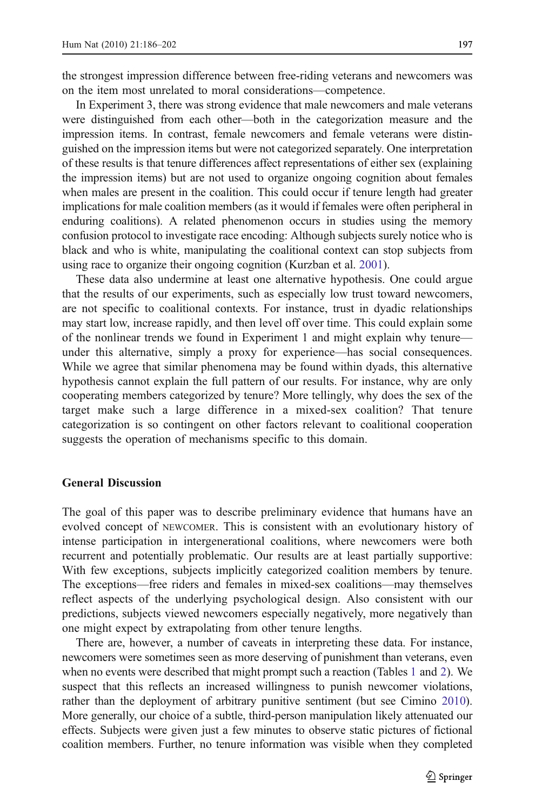the strongest impression difference between free-riding veterans and newcomers was on the item most unrelated to moral considerations—competence.

In Experiment 3, there was strong evidence that male newcomers and male veterans were distinguished from each other—both in the categorization measure and the impression items. In contrast, female newcomers and female veterans were distinguished on the impression items but were not categorized separately. One interpretation of these results is that tenure differences affect representations of either sex (explaining the impression items) but are not used to organize ongoing cognition about females when males are present in the coalition. This could occur if tenure length had greater implications for male coalition members (as it would if females were often peripheral in enduring coalitions). A related phenomenon occurs in studies using the memory confusion protocol to investigate race encoding: Although subjects surely notice who is black and who is white, manipulating the coalitional context can stop subjects from using race to organize their ongoing cognition (Kurzban et al. [2001\)](#page-14-0).

These data also undermine at least one alternative hypothesis. One could argue that the results of our experiments, such as especially low trust toward newcomers, are not specific to coalitional contexts. For instance, trust in dyadic relationships may start low, increase rapidly, and then level off over time. This could explain some of the nonlinear trends we found in Experiment 1 and might explain why tenure under this alternative, simply a proxy for experience—has social consequences. While we agree that similar phenomena may be found within dyads, this alternative hypothesis cannot explain the full pattern of our results. For instance, why are only cooperating members categorized by tenure? More tellingly, why does the sex of the target make such a large difference in a mixed-sex coalition? That tenure categorization is so contingent on other factors relevant to coalitional cooperation suggests the operation of mechanisms specific to this domain.

# General Discussion

The goal of this paper was to describe preliminary evidence that humans have an evolved concept of NEWCOMER. This is consistent with an evolutionary history of intense participation in intergenerational coalitions, where newcomers were both recurrent and potentially problematic. Our results are at least partially supportive: With few exceptions, subjects implicitly categorized coalition members by tenure. The exceptions—free riders and females in mixed-sex coalitions—may themselves reflect aspects of the underlying psychological design. Also consistent with our predictions, subjects viewed newcomers especially negatively, more negatively than one might expect by extrapolating from other tenure lengths.

There are, however, a number of caveats in interpreting these data. For instance, newcomers were sometimes seen as more deserving of punishment than veterans, even when no events were described that might prompt such a reaction (Tables [1](#page-6-0) and [2\)](#page-9-0). We suspect that this reflects an increased willingness to punish newcomer violations, rather than the deployment of arbitrary punitive sentiment (but see Cimino [2010\)](#page-14-0). More generally, our choice of a subtle, third-person manipulation likely attenuated our effects. Subjects were given just a few minutes to observe static pictures of fictional coalition members. Further, no tenure information was visible when they completed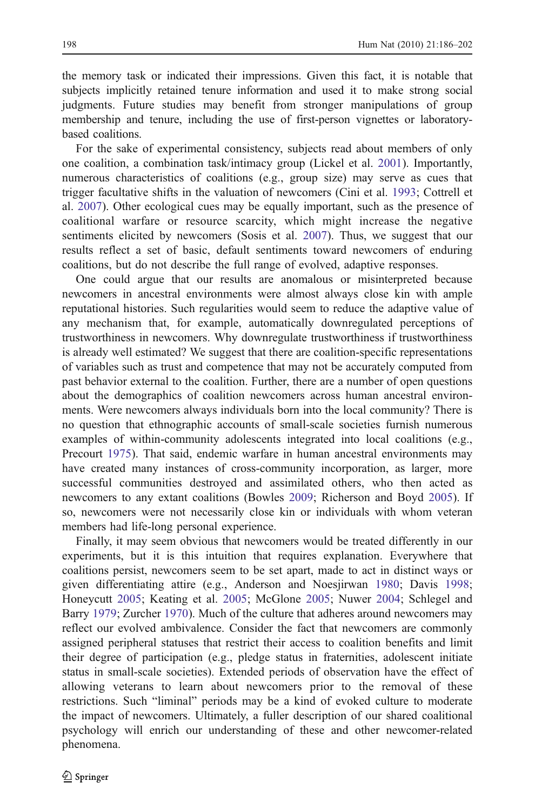the memory task or indicated their impressions. Given this fact, it is notable that subjects implicitly retained tenure information and used it to make strong social judgments. Future studies may benefit from stronger manipulations of group membership and tenure, including the use of first-person vignettes or laboratorybased coalitions.

For the sake of experimental consistency, subjects read about members of only one coalition, a combination task/intimacy group (Lickel et al. [2001\)](#page-14-0). Importantly, numerous characteristics of coalitions (e.g., group size) may serve as cues that trigger facultative shifts in the valuation of newcomers (Cini et al. [1993](#page-14-0); Cottrell et al. [2007\)](#page-14-0). Other ecological cues may be equally important, such as the presence of coalitional warfare or resource scarcity, which might increase the negative sentiments elicited by newcomers (Sosis et al. [2007\)](#page-15-0). Thus, we suggest that our results reflect a set of basic, default sentiments toward newcomers of enduring coalitions, but do not describe the full range of evolved, adaptive responses.

One could argue that our results are anomalous or misinterpreted because newcomers in ancestral environments were almost always close kin with ample reputational histories. Such regularities would seem to reduce the adaptive value of any mechanism that, for example, automatically downregulated perceptions of trustworthiness in newcomers. Why downregulate trustworthiness if trustworthiness is already well estimated? We suggest that there are coalition-specific representations of variables such as trust and competence that may not be accurately computed from past behavior external to the coalition. Further, there are a number of open questions about the demographics of coalition newcomers across human ancestral environments. Were newcomers always individuals born into the local community? There is no question that ethnographic accounts of small-scale societies furnish numerous examples of within-community adolescents integrated into local coalitions (e.g., Precourt [1975](#page-15-0)). That said, endemic warfare in human ancestral environments may have created many instances of cross-community incorporation, as larger, more successful communities destroyed and assimilated others, who then acted as newcomers to any extant coalitions (Bowles [2009](#page-14-0); Richerson and Boyd [2005](#page-15-0)). If so, newcomers were not necessarily close kin or individuals with whom veteran members had life-long personal experience.

Finally, it may seem obvious that newcomers would be treated differently in our experiments, but it is this intuition that requires explanation. Everywhere that coalitions persist, newcomers seem to be set apart, made to act in distinct ways or given differentiating attire (e.g., Anderson and Noesjirwan [1980](#page-13-0); Davis [1998;](#page-14-0) Honeycutt [2005](#page-14-0); Keating et al. [2005](#page-14-0); McGlone [2005](#page-15-0); Nuwer [2004](#page-15-0); Schlegel and Barry [1979;](#page-15-0) Zurcher [1970\)](#page-16-0). Much of the culture that adheres around newcomers may reflect our evolved ambivalence. Consider the fact that newcomers are commonly assigned peripheral statuses that restrict their access to coalition benefits and limit their degree of participation (e.g., pledge status in fraternities, adolescent initiate status in small-scale societies). Extended periods of observation have the effect of allowing veterans to learn about newcomers prior to the removal of these restrictions. Such "liminal" periods may be a kind of evoked culture to moderate the impact of newcomers. Ultimately, a fuller description of our shared coalitional psychology will enrich our understanding of these and other newcomer-related phenomena.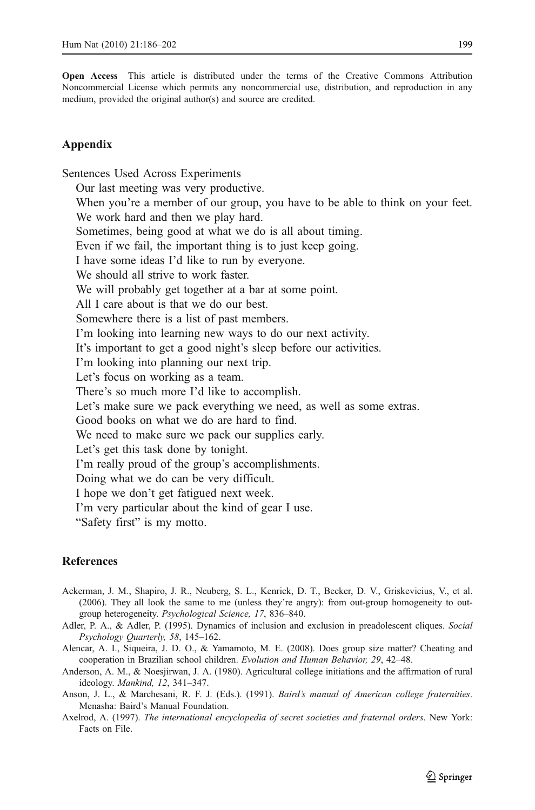<span id="page-13-0"></span>Open Access This article is distributed under the terms of the Creative Commons Attribution Noncommercial License which permits any noncommercial use, distribution, and reproduction in any medium, provided the original author(s) and source are credited.

# Appendix

Sentences Used Across Experiments Our last meeting was very productive. When you're a member of our group, you have to be able to think on your feet. We work hard and then we play hard. Sometimes, being good at what we do is all about timing. Even if we fail, the important thing is to just keep going. I have some ideas I'd like to run by everyone. We should all strive to work faster. We will probably get together at a bar at some point. All I care about is that we do our best. Somewhere there is a list of past members. I'm looking into learning new ways to do our next activity. It's important to get a good night's sleep before our activities. I'm looking into planning our next trip. Let's focus on working as a team. There's so much more I'd like to accomplish. Let's make sure we pack everything we need, as well as some extras. Good books on what we do are hard to find. We need to make sure we pack our supplies early. Let's get this task done by tonight. I'm really proud of the group's accomplishments. Doing what we do can be very difficult. I hope we don't get fatigued next week. I'm very particular about the kind of gear I use. "Safety first" is my motto.

# References

- Ackerman, J. M., Shapiro, J. R., Neuberg, S. L., Kenrick, D. T., Becker, D. V., Griskevicius, V., et al. (2006). They all look the same to me (unless they're angry): from out-group homogeneity to outgroup heterogeneity. Psychological Science, 17, 836–840.
- Adler, P. A., & Adler, P. (1995). Dynamics of inclusion and exclusion in preadolescent cliques. Social Psychology Quarterly, 58, 145–162.
- Alencar, A. I., Siqueira, J. D. O., & Yamamoto, M. E. (2008). Does group size matter? Cheating and cooperation in Brazilian school children. Evolution and Human Behavior, 29, 42–48.
- Anderson, A. M., & Noesjirwan, J. A. (1980). Agricultural college initiations and the affirmation of rural ideology. Mankind, 12, 341–347.
- Anson, J. L., & Marchesani, R. F. J. (Eds.). (1991). Baird's manual of American college fraternities. Menasha: Baird's Manual Foundation.
- Axelrod, A. (1997). The international encyclopedia of secret societies and fraternal orders. New York: Facts on File.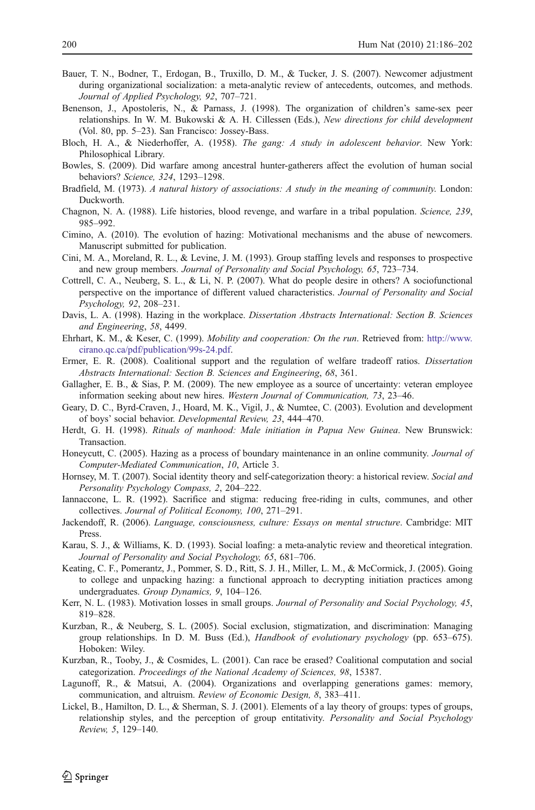- <span id="page-14-0"></span>Bauer, T. N., Bodner, T., Erdogan, B., Truxillo, D. M., & Tucker, J. S. (2007). Newcomer adjustment during organizational socialization: a meta-analytic review of antecedents, outcomes, and methods. Journal of Applied Psychology, 92, 707–721.
- Benenson, J., Apostoleris, N., & Parnass, J. (1998). The organization of children's same-sex peer relationships. In W. M. Bukowski & A. H. Cillessen (Eds.), New directions for child development (Vol. 80, pp. 5–23). San Francisco: Jossey-Bass.
- Bloch, H. A., & Niederhoffer, A. (1958). The gang: A study in adolescent behavior. New York: Philosophical Library.
- Bowles, S. (2009). Did warfare among ancestral hunter-gatherers affect the evolution of human social behaviors? Science, 324, 1293–1298.
- Bradfield, M. (1973). A natural history of associations: A study in the meaning of community. London: Duckworth.
- Chagnon, N. A. (1988). Life histories, blood revenge, and warfare in a tribal population. Science, 239, 985–992.
- Cimino, A. (2010). The evolution of hazing: Motivational mechanisms and the abuse of newcomers. Manuscript submitted for publication.
- Cini, M. A., Moreland, R. L., & Levine, J. M. (1993). Group staffing levels and responses to prospective and new group members. Journal of Personality and Social Psychology, 65, 723–734.
- Cottrell, C. A., Neuberg, S. L., & Li, N. P. (2007). What do people desire in others? A sociofunctional perspective on the importance of different valued characteristics. Journal of Personality and Social Psychology, 92, 208–231.
- Davis, L. A. (1998). Hazing in the workplace. Dissertation Abstracts International: Section B. Sciences and Engineering, 58, 4499.
- Ehrhart, K. M., & Keser, C. (1999). Mobility and cooperation: On the run. Retrieved from: [http://www.](http://www.cirano.qc.ca/pdf/publication/99s-24.pdf) [cirano.qc.ca/pdf/publication/99s-24.pdf](http://www.cirano.qc.ca/pdf/publication/99s-24.pdf).
- Ermer, E. R. (2008). Coalitional support and the regulation of welfare tradeoff ratios. Dissertation Abstracts International: Section B. Sciences and Engineering, 68, 361.
- Gallagher, E. B., & Sias, P. M. (2009). The new employee as a source of uncertainty: veteran employee information seeking about new hires. Western Journal of Communication, 73, 23–46.
- Geary, D. C., Byrd-Craven, J., Hoard, M. K., Vigil, J., & Numtee, C. (2003). Evolution and development of boys' social behavior. Developmental Review, 23, 444–470.
- Herdt, G. H. (1998). Rituals of manhood: Male initiation in Papua New Guinea. New Brunswick: Transaction.
- Honeycutt, C. (2005). Hazing as a process of boundary maintenance in an online community. Journal of Computer-Mediated Communication, 10, Article 3.
- Hornsey, M. T. (2007). Social identity theory and self-categorization theory: a historical review. Social and Personality Psychology Compass, 2, 204–222.
- Iannaccone, L. R. (1992). Sacrifice and stigma: reducing free-riding in cults, communes, and other collectives. Journal of Political Economy, 100, 271–291.
- Jackendoff, R. (2006). Language, consciousness, culture: Essays on mental structure. Cambridge: MIT Press.
- Karau, S. J., & Williams, K. D. (1993). Social loafing: a meta-analytic review and theoretical integration. Journal of Personality and Social Psychology, 65, 681–706.
- Keating, C. F., Pomerantz, J., Pommer, S. D., Ritt, S. J. H., Miller, L. M., & McCormick, J. (2005). Going to college and unpacking hazing: a functional approach to decrypting initiation practices among undergraduates. Group Dynamics, 9, 104–126.
- Kerr, N. L. (1983). Motivation losses in small groups. Journal of Personality and Social Psychology, 45, 819–828.
- Kurzban, R., & Neuberg, S. L. (2005). Social exclusion, stigmatization, and discrimination: Managing group relationships. In D. M. Buss (Ed.), Handbook of evolutionary psychology (pp. 653–675). Hoboken: Wiley.
- Kurzban, R., Tooby, J., & Cosmides, L. (2001). Can race be erased? Coalitional computation and social categorization. Proceedings of the National Academy of Sciences, 98, 15387.
- Lagunoff, R., & Matsui, A. (2004). Organizations and overlapping generations games: memory, communication, and altruism. Review of Economic Design, 8, 383–411.
- Lickel, B., Hamilton, D. L., & Sherman, S. J. (2001). Elements of a lay theory of groups: types of groups, relationship styles, and the perception of group entitativity. Personality and Social Psychology Review, 5, 129–140.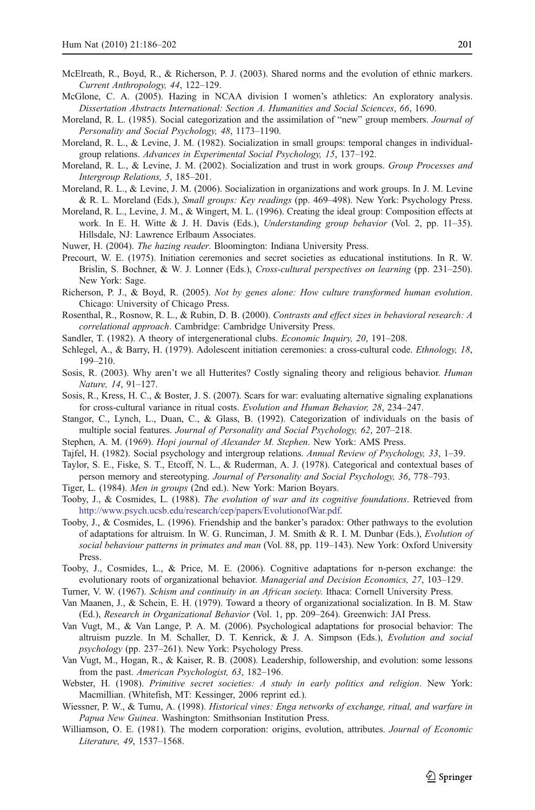- <span id="page-15-0"></span>McElreath, R., Boyd, R., & Richerson, P. J. (2003). Shared norms and the evolution of ethnic markers. Current Anthropology, 44, 122–129.
- McGlone, C. A. (2005). Hazing in NCAA division I women's athletics: An exploratory analysis. Dissertation Abstracts International: Section A. Humanities and Social Sciences, 66, 1690.
- Moreland, R. L. (1985). Social categorization and the assimilation of "new" group members. Journal of Personality and Social Psychology, 48, 1173–1190.
- Moreland, R. L., & Levine, J. M. (1982). Socialization in small groups: temporal changes in individualgroup relations. Advances in Experimental Social Psychology, 15, 137–192.
- Moreland, R. L., & Levine, J. M. (2002). Socialization and trust in work groups. Group Processes and Intergroup Relations, 5, 185–201.
- Moreland, R. L., & Levine, J. M. (2006). Socialization in organizations and work groups. In J. M. Levine & R. L. Moreland (Eds.), Small groups: Key readings (pp. 469–498). New York: Psychology Press.
- Moreland, R. L., Levine, J. M., & Wingert, M. L. (1996). Creating the ideal group: Composition effects at work. In E. H. Witte & J. H. Davis (Eds.), Understanding group behavior (Vol. 2, pp. 11–35). Hillsdale, NJ: Lawrence Erlbaum Associates.
- Nuwer, H. (2004). The hazing reader. Bloomington: Indiana University Press.
- Precourt, W. E. (1975). Initiation ceremonies and secret societies as educational institutions. In R. W. Brislin, S. Bochner, & W. J. Lonner (Eds.), Cross-cultural perspectives on learning (pp. 231–250). New York: Sage.
- Richerson, P. J., & Boyd, R. (2005). Not by genes alone: How culture transformed human evolution. Chicago: University of Chicago Press.
- Rosenthal, R., Rosnow, R. L., & Rubin, D. B. (2000). Contrasts and effect sizes in behavioral research: A correlational approach. Cambridge: Cambridge University Press.
- Sandler, T. (1982). A theory of intergenerational clubs. Economic Inquiry, 20, 191–208.
- Schlegel, A., & Barry, H. (1979). Adolescent initiation ceremonies: a cross-cultural code. Ethnology, 18, 199–210.
- Sosis, R. (2003). Why aren't we all Hutterites? Costly signaling theory and religious behavior. *Human* Nature, 14, 91–127.
- Sosis, R., Kress, H. C., & Boster, J. S. (2007). Scars for war: evaluating alternative signaling explanations for cross-cultural variance in ritual costs. Evolution and Human Behavior, 28, 234–247.
- Stangor, C., Lynch, L., Duan, C., & Glass, B. (1992). Categorization of individuals on the basis of multiple social features. Journal of Personality and Social Psychology, 62, 207–218.
- Stephen, A. M. (1969). Hopi journal of Alexander M. Stephen. New York: AMS Press.
- Tajfel, H. (1982). Social psychology and intergroup relations. Annual Review of Psychology, 33, 1–39.
- Taylor, S. E., Fiske, S. T., Etcoff, N. L., & Ruderman, A. J. (1978). Categorical and contextual bases of person memory and stereotyping. Journal of Personality and Social Psychology, 36, 778–793.
- Tiger, L. (1984). Men in groups (2nd ed.). New York: Marion Boyars.
- Tooby, J., & Cosmides, L. (1988). The evolution of war and its cognitive foundations. Retrieved from <http://www.psych.ucsb.edu/research/cep/papers/EvolutionofWar.pdf>.
- Tooby, J., & Cosmides, L. (1996). Friendship and the banker's paradox: Other pathways to the evolution of adaptations for altruism. In W. G. Runciman, J. M. Smith & R. I. M. Dunbar (Eds.), Evolution of social behaviour patterns in primates and man (Vol. 88, pp. 119-143). New York: Oxford University Press.
- Tooby, J., Cosmides, L., & Price, M. E. (2006). Cognitive adaptations for n-person exchange: the evolutionary roots of organizational behavior. Managerial and Decision Economics, 27, 103–129.
- Turner, V. W. (1967). Schism and continuity in an African society. Ithaca: Cornell University Press.
- Van Maanen, J., & Schein, E. H. (1979). Toward a theory of organizational socialization. In B. M. Staw (Ed.), Research in Organizational Behavior (Vol. 1, pp. 209–264). Greenwich: JAI Press.
- Van Vugt, M., & Van Lange, P. A. M. (2006). Psychological adaptations for prosocial behavior: The altruism puzzle. In M. Schaller, D. T. Kenrick, & J. A. Simpson (Eds.), Evolution and social psychology (pp. 237–261). New York: Psychology Press.
- Van Vugt, M., Hogan, R., & Kaiser, R. B. (2008). Leadership, followership, and evolution: some lessons from the past. American Psychologist, 63, 182–196.
- Webster, H. (1908). Primitive secret societies: A study in early politics and religion. New York: Macmillian. (Whitefish, MT: Kessinger, 2006 reprint ed.).
- Wiessner, P. W., & Tumu, A. (1998). Historical vines: Enga networks of exchange, ritual, and warfare in Papua New Guinea. Washington: Smithsonian Institution Press.
- Williamson, O. E. (1981). The modern corporation: origins, evolution, attributes. Journal of Economic Literature, 49, 1537–1568.